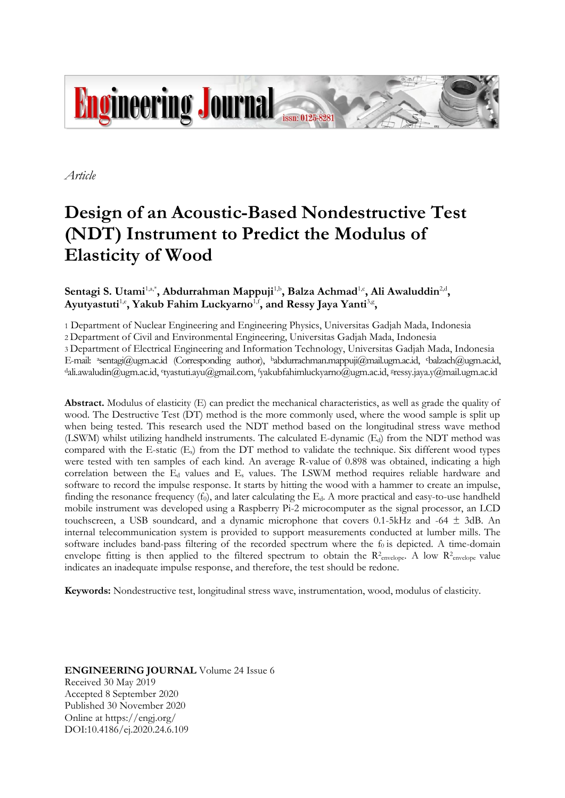

*Article*

# **Design of an Acoustic-Based Nondestructive Test (NDT) Instrument to Predict the Modulus of Elasticity of Wood**

# Sentagi S. Utami<sup>1,a,\*</sup>, Abdurrahman Mappuji<sup>1,b</sup>, Balza Achmad<sup>1,c</sup>, Ali Awaluddin<sup>2,d</sup>, Ayutyastuti<sup>1,e</sup>, Yakub Fahim Luckyarno<sup>1,f</sup>, and Ressy Jaya Yanti<sup>3,g</sup>,

1 Department of Nuclear Engineering and Engineering Physics, Universitas Gadjah Mada, Indonesia

2 Department of Civil and Environmental Engineering, Universitas Gadjah Mada, Indonesia

3 Department of Electrical Engineering and Information Technology, Universitas Gadjah Mada, Indonesia E-mail: <sup>a</sup>sentagi@ugm.ac.id (Corresponding author), <sup>b</sup>abdurrachman.mappuji@mail.ugm.ac.id, cbalzach@ugm.ac.id, dali.awaludin@ugm.ac.id, etyastuti.ayu@gmail.com, <sup>f</sup>yakubfahimluckyarno@ugm.ac.id, sressy.jaya.y@mail.ugm.ac.id

**Abstract.** Modulus of elasticity (E) can predict the mechanical characteristics, as well as grade the quality of wood. The Destructive Test (DT) method is the more commonly used, where the wood sample is split up when being tested. This research used the NDT method based on the longitudinal stress wave method (LSWM) whilst utilizing handheld instruments. The calculated E-dynamic  $(E_d)$  from the NDT method was compared with the E-static (Es) from the DT method to validate the technique. Six different wood types were tested with ten samples of each kind. An average R-value of 0.898 was obtained, indicating a high correlation between the E<sup>d</sup> values and E<sup>s</sup> values. The LSWM method requires reliable hardware and software to record the impulse response. It starts by hitting the wood with a hammer to create an impulse, finding the resonance frequency  $(f_0)$ , and later calculating the  $E_d$ . A more practical and easy-to-use handheld mobile instrument was developed using a Raspberry Pi-2 microcomputer as the signal processor, an LCD touchscreen, a USB soundcard, and a dynamic microphone that covers  $0.1-5kHz$  and  $-64 \pm 3dB$ . An internal telecommunication system is provided to support measurements conducted at lumber mills. The software includes band-pass filtering of the recorded spectrum where the  $f_0$  is depicted. A time-domain envelope fitting is then applied to the filtered spectrum to obtain the  $R^2$ <sub>envelope</sub>. A low  $R^2$ <sub>envelope</sub> value indicates an inadequate impulse response, and therefore, the test should be redone.

**Keywords:** Nondestructive test, longitudinal stress wave, instrumentation, wood, modulus of elasticity.

**ENGINEERING JOURNAL** Volume 24 Issue 6 Received 30 May 2019 Accepted 8 September 2020 Published 30 November 2020 Online at https://engj.org/ DOI:10.4186/ej.2020.24.6.109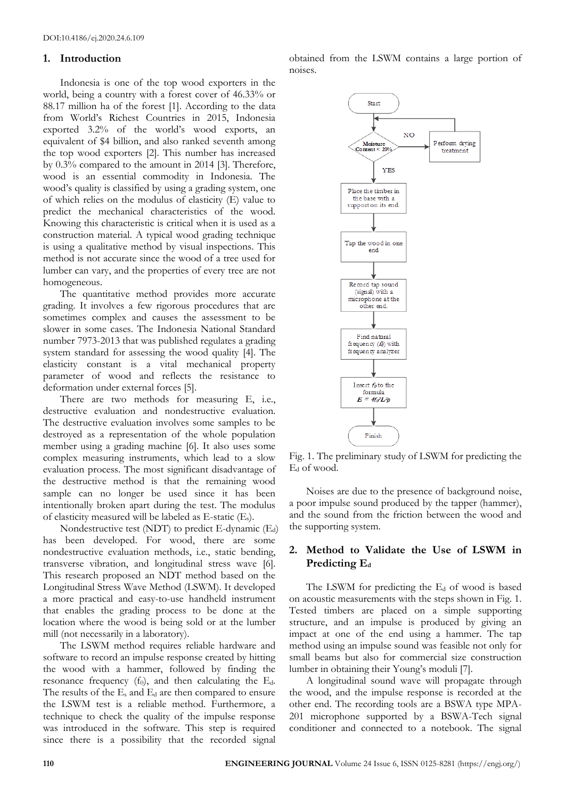## **1. Introduction**

Indonesia is one of the top wood exporters in the world, being a country with a forest cover of 46.33% or 88.17 million ha of the forest [1]. According to the data from World's Richest Countries in 2015, Indonesia exported 3.2% of the world's wood exports, an equivalent of \$4 billion, and also ranked seventh among the top wood exporters [2]. This number has increased by 0.3% compared to the amount in 2014 [3]. Therefore, wood is an essential commodity in Indonesia. The wood's quality is classified by using a grading system, one of which relies on the modulus of elasticity (E) value to predict the mechanical characteristics of the wood. Knowing this characteristic is critical when it is used as a construction material. A typical wood grading technique is using a qualitative method by visual inspections. This method is not accurate since the wood of a tree used for lumber can vary, and the properties of every tree are not homogeneous.

The quantitative method provides more accurate grading. It involves a few rigorous procedures that are sometimes complex and causes the assessment to be slower in some cases. The Indonesia National Standard number 7973-2013 that was published regulates a grading system standard for assessing the wood quality [4]. The elasticity constant is a vital mechanical property parameter of wood and reflects the resistance to deformation under external forces [5].

There are two methods for measuring E, i.e., destructive evaluation and nondestructive evaluation. The destructive evaluation involves some samples to be destroyed as a representation of the whole population member using a grading machine [6]. It also uses some complex measuring instruments, which lead to a slow evaluation process. The most significant disadvantage of the destructive method is that the remaining wood sample can no longer be used since it has been intentionally broken apart during the test. The modulus of elasticity measured will be labeled as E-static (Es).

Nondestructive test (NDT) to predict E-dynamic  $(E_d)$ has been developed. For wood, there are some nondestructive evaluation methods, i.e., static bending, transverse vibration, and longitudinal stress wave [6]. This research proposed an NDT method based on the Longitudinal Stress Wave Method (LSWM). It developed a more practical and easy-to-use handheld instrument that enables the grading process to be done at the location where the wood is being sold or at the lumber mill (not necessarily in a laboratory).

The LSWM method requires reliable hardware and software to record an impulse response created by hitting the wood with a hammer, followed by finding the resonance frequency  $(f_0)$ , and then calculating the E<sub>d</sub>. The results of the  $E_s$  and  $E_d$  are then compared to ensure the LSWM test is a reliable method. Furthermore, a technique to check the quality of the impulse response was introduced in the software. This step is required since there is a possibility that the recorded signal obtained from the LSWM contains a large portion of noises.



Fig. 1. The preliminary study of LSWM for predicting the  $E_d$  of wood.

Noises are due to the presence of background noise, a poor impulse sound produced by the tapper (hammer), and the sound from the friction between the wood and the supporting system.

# **2. Method to Validate the Use of LSWM in Predicting E<sup>d</sup>**

The LSWM for predicting the  $E<sub>d</sub>$  of wood is based on acoustic measurements with the steps shown in Fig. 1. Tested timbers are placed on a simple supporting structure, and an impulse is produced by giving an impact at one of the end using a hammer. The tap method using an impulse sound was feasible not only for small beams but also for commercial size construction lumber in obtaining their Young's moduli [7].

A longitudinal sound wave will propagate through the wood, and the impulse response is recorded at the other end. The recording tools are a BSWA type MPA-201 microphone supported by a BSWA-Tech signal conditioner and connected to a notebook. The signal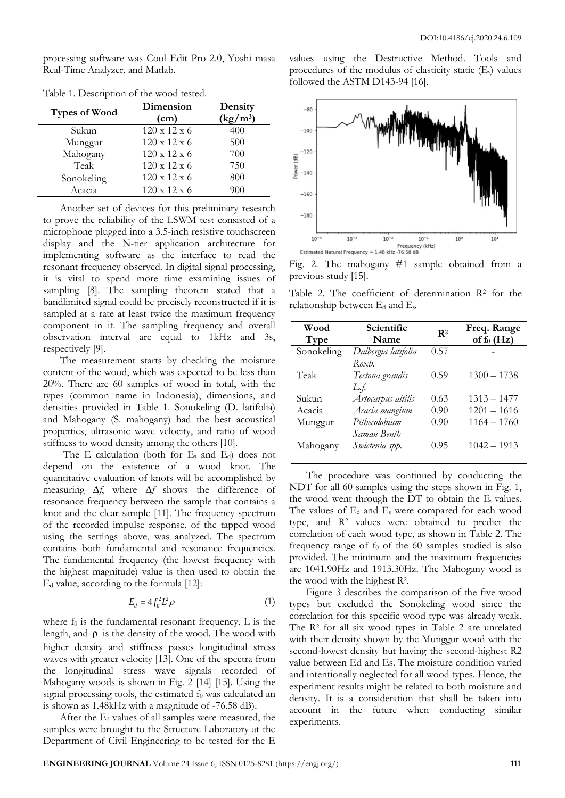processing software was Cool Edit Pro 2.0, Yoshi masa Real-Time Analyzer, and Matlab.

| <b>Types of Wood</b> | Dimension<br>(cm)        | Density<br>$(kg/m^3)$ |
|----------------------|--------------------------|-----------------------|
| Sukun                | $120 \times 12 \times 6$ | 400                   |
| Munggur              | $120 \times 12 \times 6$ | 500                   |
| Mahogany             | $120 \times 12 \times 6$ | 700                   |
| Teak                 | $120 \times 12 \times 6$ | 750                   |
| Sonokeling           | $120 \times 12 \times 6$ | 800                   |
| Acacia               | $120 \times 12 \times 6$ | 900                   |

Table 1. Description of the wood tested.

Another set of devices for this preliminary research to prove the reliability of the LSWM test consisted of a microphone plugged into a 3.5-inch resistive touchscreen display and the N-tier application architecture for implementing software as the interface to read the resonant frequency observed. In digital signal processing, it is vital to spend more time examining issues of sampling [8]. The sampling theorem stated that a bandlimited signal could be precisely reconstructed if it is sampled at a rate at least twice the maximum frequency component in it. The sampling frequency and overall observation interval are equal to 1kHz and 3s, respectively [9].

The measurement starts by checking the moisture content of the wood, which was expected to be less than 20%. There are 60 samples of wood in total, with the types (common name in Indonesia), dimensions, and densities provided in Table 1. Sonokeling (D. latifolia) and Mahogany (S. mahogany) had the best acoustical properties, ultrasonic wave velocity, and ratio of wood stiffness to wood density among the others [10].

The E calculation (both for E<sub>s</sub> and E<sub>d</sub>) does not depend on the existence of a wood knot. The quantitative evaluation of knots will be accomplished by measuring ∆*f*, where ∆*f* shows the difference of resonance frequency between the sample that contains a knot and the clear sample [11]. The frequency spectrum of the recorded impulse response, of the tapped wood using the settings above, was analyzed. The spectrum contains both fundamental and resonance frequencies. The fundamental frequency (the lowest frequency with the highest magnitude) value is then used to obtain the E<sup>d</sup> value, according to the formula [12]:

$$
E_d = 4f_0^2 L^2 \rho \tag{1}
$$

where  $f_0$  is the fundamental resonant frequency, L is the length, and  $\rho$  is the density of the wood. The wood with higher density and stiffness passes longitudinal stress waves with greater velocity [13]. One of the spectra from the longitudinal stress wave signals recorded of Mahogany woods is shown in Fig. 2 [14] [15]. Using the signal processing tools, the estimated  $f_0$  was calculated an is shown as 1.48kHz with a magnitude of -76.58 dB).

After the  $E_d$  values of all samples were measured, the samples were brought to the Structure Laboratory at the Department of Civil Engineering to be tested for the E values using the Destructive Method. Tools and procedures of the modulus of elasticity static (Es) values followed the ASTM D143-94 [16].



Fig. 2. The mahogany #1 sample obtained from a previous study [15].

Table 2. The coefficient of determination  $\mathbb{R}^2$  for the relationship between E<sup>d</sup> and Es*.*

| Wood<br>Type | Scientific<br>Name                             | $\mathbf{R}^2$ | Freq. Range<br>of $f_0$ (Hz) |
|--------------|------------------------------------------------|----------------|------------------------------|
| Sonokeling   | Dalbergia latifolia<br>$R$ $\alpha \times b$ . | 0.57           |                              |
| Teak         | Tectona grandis<br>$Lf$ .                      | 0.59           | $1300 - 1738$                |
| Sukun        | Artocarpus altilis                             | 0.63           | $1313 - 1477$                |
| Acacia       | Acacia mangium                                 | 0.90           | $1201 - 1616$                |
| Munggur      | Pithecolobium<br>Saman Benth                   | 0.90           | $1164 - 1760$                |
| Mahogany     | Swietenia spp.                                 | 0.95           | $1042 - 1913$                |

The procedure was continued by conducting the NDT for all 60 samples using the steps shown in Fig. 1, the wood went through the  $DT$  to obtain the  $E_s$  values. The values of  $E_d$  and  $E_s$  were compared for each wood type, and R<sup>2</sup> values were obtained to predict the correlation of each wood type, as shown in Table 2. The frequency range of  $f_0$  of the 60 samples studied is also provided. The minimum and the maximum frequencies are 1041.90Hz and 1913.30Hz. The Mahogany wood is the wood with the highest R<sup>2</sup> .

Figure 3 describes the comparison of the five wood types but excluded the Sonokeling wood since the correlation for this specific wood type was already weak. The R<sup>2</sup> for all six wood types in Table 2 are unrelated with their density shown by the Munggur wood with the second-lowest density but having the second-highest R2 value between Ed and Es. The moisture condition varied and intentionally neglected for all wood types. Hence, the experiment results might be related to both moisture and density. It is a consideration that shall be taken into account in the future when conducting similar experiments.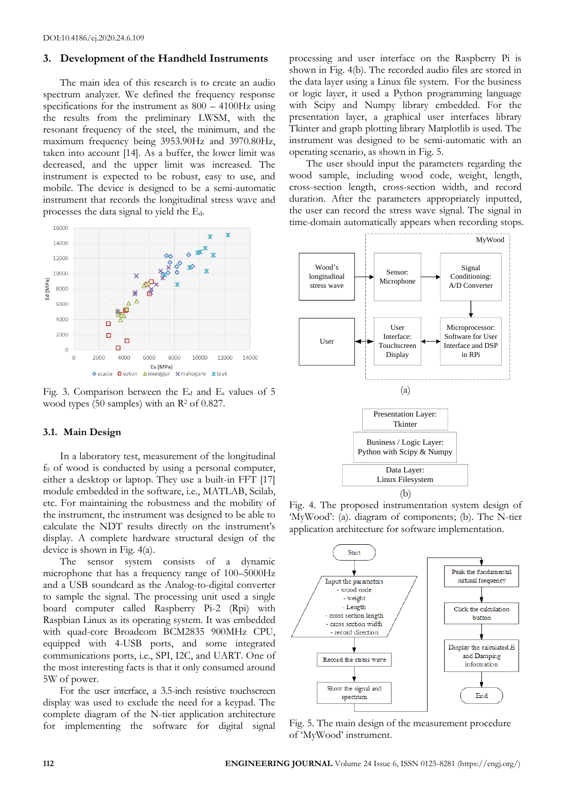# **3. Development of the Handheld Instruments**

The main idea of this research is to create an audio spectrum analyzer. We defined the frequency response specifications for the instrument as 800 – 4100Hz using the results from the preliminary LWSM, with the resonant frequency of the steel, the minimum, and the maximum frequency being 3953.90Hz and 3970.80Hz, taken into account [14]. As a buffer, the lower limit was decreased, and the upper limit was increased. The instrument is expected to be robust, easy to use, and mobile. The device is designed to be a semi-automatic instrument that records the longitudinal stress wave and processes the data signal to yield the Ed.



Fig. 3. Comparison between the  $E_d$  and  $E_s$  values of 5 wood types (50 samples) with an  $\mathbb{R}^2$  of 0.827.

#### **3.1. Main Design**

In a laboratory test, measurement of the longitudinal  $f<sub>0</sub>$  of wood is conducted by using a personal computer, either a desktop or laptop. They use a built-in FFT [17] module embedded in the software, i.e., MATLAB, Scilab, etc. For maintaining the robustness and the mobility of the instrument, the instrument was designed to be able to calculate the NDT results directly on the instrument's display. A complete hardware structural design of the device is shown in Fig. 4(a).

The sensor system consists of a dynamic microphone that has a frequency range of 100–5000Hz and a USB soundcard as the Analog-to-digital converter to sample the signal. The processing unit used a single board computer called Raspberry Pi-2 (Rpi) with Raspbian Linux as its operating system. It was embedded with quad-core Broadcom BCM2835 900MHz CPU, equipped with 4-USB ports, and some integrated communications ports, i.e., SPI, I2C, and UART. One of the most interesting facts is that it only consumed around 5W of power.

For the user interface, a 3.5-inch resistive touchscreen display was used to exclude the need for a keypad. The complete diagram of the N-tier application architecture for implementing the software for digital signal processing and user interface on the Raspberry Pi is shown in Fig. 4(b). The recorded audio files are stored in the data layer using a Linux file system. For the business or logic layer, it used a Python programming language with Scipy and Numpy library embedded. For the presentation layer, a graphical user interfaces library Tkinter and graph plotting library Matplotlib is used. The instrument was designed to be semi-automatic with an operating scenario, as shown in Fig. 5.

The user should input the parameters regarding the wood sample, including wood code, weight, length, cross-section length, cross-section width, and record duration. After the parameters appropriately inputted, the user can record the stress wave signal. The signal in time-domain automatically appears when recording stops.



Fig. 4. The proposed instrumentation system design of 'MyWood': (a). diagram of components; (b). The N-tier application architecture for software implementation.



Fig. 5. The main design of the measurement procedure of 'MyWood' instrument.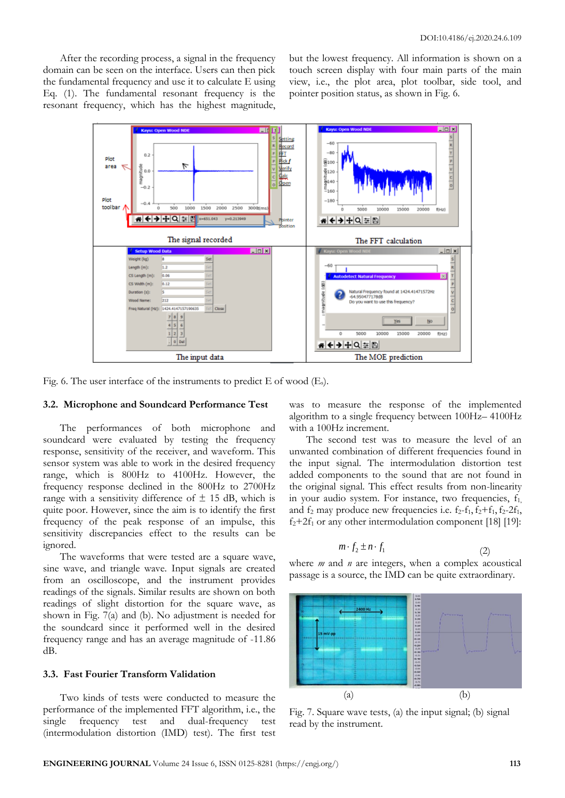After the recording process, a signal in the frequency domain can be seen on the interface. Users can then pick the fundamental frequency and use it to calculate E using Eq. (1). The fundamental resonant frequency is the resonant frequency, which has the highest magnitude,

but the lowest frequency. All information is shown on a touch screen display with four main parts of the main view, i.e., the plot area, plot toolbar, side tool, and pointer position status, as shown in Fig. 6.



Fig. 6. The user interface of the instruments to predict  $E$  of wood  $(E_s)$ .

#### **3.2. Microphone and Soundcard Performance Test**

The performances of both microphone and soundcard were evaluated by testing the frequency response, sensitivity of the receiver, and waveform. This sensor system was able to work in the desired frequency range, which is 800Hz to 4100Hz. However, the frequency response declined in the 800Hz to 2700Hz range with a sensitivity difference of  $\pm$  15 dB, which is quite poor. However, since the aim is to identify the first frequency of the peak response of an impulse, this sensitivity discrepancies effect to the results can be ignored.

The waveforms that were tested are a square wave, sine wave, and triangle wave. Input signals are created from an oscilloscope, and the instrument provides readings of the signals. Similar results are shown on both readings of slight distortion for the square wave, as shown in Fig. 7(a) and (b). No adjustment is needed for the soundcard since it performed well in the desired frequency range and has an average magnitude of -11.86 dB.

# **3.3. Fast Fourier Transform Validation**

Two kinds of tests were conducted to measure the performance of the implemented FFT algorithm, i.e., the single frequency test and dual-frequency test (intermodulation distortion (IMD) test). The first test

was to measure the response of the implemented algorithm to a single frequency between 100Hz– 4100Hz with a 100Hz increment.

The second test was to measure the level of an unwanted combination of different frequencies found in the input signal. The intermodulation distortion test added components to the sound that are not found in the original signal. This effect results from non-linearity in your audio system. For instance, two frequencies,  $f_1$ , and  $f_2$  may produce new frequencies i.e.  $f_2-f_1, f_2+f_1, f_2-2f_1$ ,  $f_2+2f_1$  or any other intermodulation component [18] [19]:

$$
m \cdot f_2 \pm n \cdot f_1 \tag{2}
$$

where *m* and *n* are integers, when a complex acoustical passage is a source, the IMD can be quite extraordinary.



Fig. 7. Square wave tests, (a) the input signal; (b) signal read by the instrument.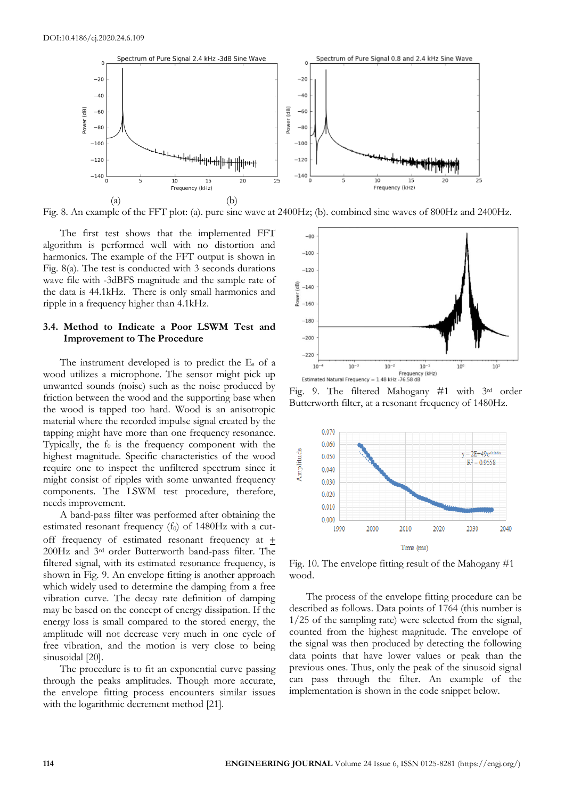

Fig. 8. An example of the FFT plot: (a). pure sine wave at 2400Hz; (b). combined sine waves of 800Hz and 2400Hz.

The first test shows that the implemented FFT algorithm is performed well with no distortion and harmonics. The example of the FFT output is shown in Fig. 8(a). The test is conducted with 3 seconds durations wave file with -3dBFS magnitude and the sample rate of the data is 44.1kHz. There is only small harmonics and ripple in a frequency higher than 4.1kHz.

# **3.4. Method to Indicate a Poor LSWM Test and Improvement to The Procedure**

The instrument developed is to predict the E<sup>s</sup> of a wood utilizes a microphone. The sensor might pick up unwanted sounds (noise) such as the noise produced by friction between the wood and the supporting base when the wood is tapped too hard. Wood is an anisotropic material where the recorded impulse signal created by the tapping might have more than one frequency resonance. Typically, the  $f_0$  is the frequency component with the highest magnitude. Specific characteristics of the wood require one to inspect the unfiltered spectrum since it might consist of ripples with some unwanted frequency components. The LSWM test procedure, therefore, needs improvement.

A band-pass filter was performed after obtaining the estimated resonant frequency  $(f_0)$  of 1480Hz with a cutoff frequency of estimated resonant frequency at 200Hz and 3rd order Butterworth band-pass filter. The filtered signal, with its estimated resonance frequency, is shown in Fig. 9. An envelope fitting is another approach which widely used to determine the damping from a free vibration curve. The decay rate definition of damping may be based on the concept of energy dissipation. If the energy loss is small compared to the stored energy, the amplitude will not decrease very much in one cycle of free vibration, and the motion is very close to being sinusoidal [20].

The procedure is to fit an exponential curve passing through the peaks amplitudes. Though more accurate, the envelope fitting process encounters similar issues with the logarithmic decrement method [21].



Fig. 9. The filtered Mahogany #1 with 3rd order Butterworth filter, at a resonant frequency of 1480Hz.



Fig. 10. The envelope fitting result of the Mahogany #1 wood.

The process of the envelope fitting procedure can be described as follows. Data points of 1764 (this number is 1/25 of the sampling rate) were selected from the signal, counted from the highest magnitude. The envelope of the signal was then produced by detecting the following data points that have lower values or peak than the previous ones. Thus, only the peak of the sinusoid signal can pass through the filter. An example of the implementation is shown in the code snippet below.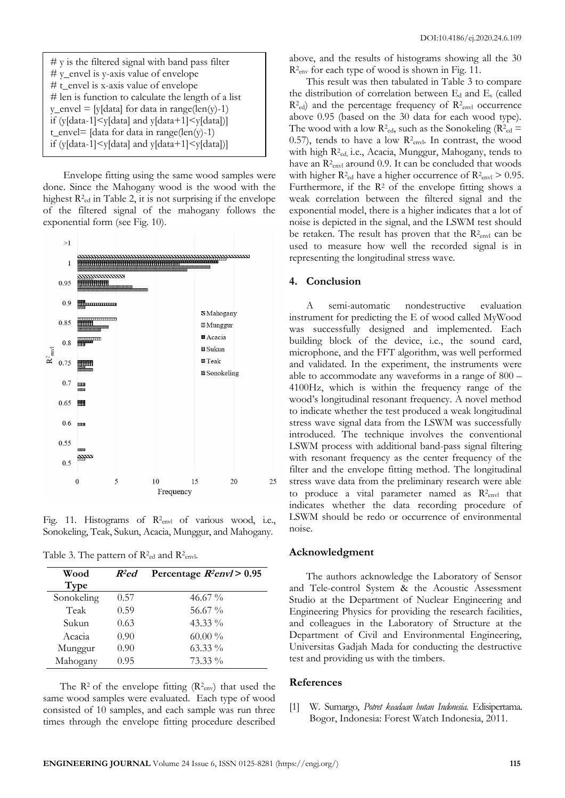| $#$ y is the filtered signal with band pass filter                                       |  |  |  |
|------------------------------------------------------------------------------------------|--|--|--|
| $\#$ y_envel is y-axis value of envelope                                                 |  |  |  |
| $\#$ t_envel is x-axis value of envelope                                                 |  |  |  |
| $#$ len is function to calculate the length of a list                                    |  |  |  |
| $y$ _envel = [y[data] for data in range(len(y)-1)                                        |  |  |  |
| if (y[data-1] $\leq$ y[data] and y[data+1] $\leq$ y[data])]                              |  |  |  |
| t_envel= $\lceil \text{data} \rceil$ for data in range $\lceil \text{len}(y) - 1 \rceil$ |  |  |  |
| if (y[data-1] $\leq$ y[data] and y[data+1] $\leq$ y[data])]                              |  |  |  |

Envelope fitting using the same wood samples were done. Since the Mahogany wood is the wood with the highest  $R^2$ <sup>ed</sup> in Table 2, it is not surprising if the envelope of the filtered signal of the mahogany follows the exponential form (see Fig. 10).



Fig. 11. Histograms of R<sup>2</sup><sub>envl</sub> of various wood, i.e., Sonokeling, Teak, Sukun, Acacia, Munggur, and Mahogany.

Table 3. The pattern of  $R^2$ <sub>ed</sub> and  $R^2$ <sub>envl</sub>.

| Wood       | $R^2$ ed | Percentage $R2env1 > 0.95$ |
|------------|----------|----------------------------|
| Type       |          |                            |
| Sonokeling | 0.57     | 46.67 $\%$                 |
| Teak       | 0.59     | 56.67 %                    |
| Sukun      | 0.63     | $43.33\%$                  |
| Acacia     | 0.90     | $60.00\%$                  |
| Munggur    | 0.90     | $63.33\%$                  |
| Mahogany   | 0.95     | $73.33\%$                  |

The  $\mathbb{R}^2$  of the envelope fitting  $(\mathbb{R}^2_{\text{env}})$  that used the same wood samples were evaluated. Each type of wood consisted of 10 samples, and each sample was run three times through the envelope fitting procedure described

above, and the results of histograms showing all the 30 R<sup>2</sup><sub>env</sub> for each type of wood is shown in Fig. 11.

This result was then tabulated in Table 3 to compare the distribution of correlation between E<sup>d</sup> and E<sup>s</sup> (called  $R<sup>2</sup><sub>ed</sub>$  and the percentage frequency of  $R<sup>2</sup><sub>envl</sub>$  occurrence above 0.95 (based on the 30 data for each wood type). The wood with a low  $R^2_{\text{ed}}$ , such as the Sonokeling ( $R^2_{\text{ed}} =$ 0.57), tends to have a low  $R_{\text{envl}}$ . In contrast, the wood with high R<sup>2</sup> ed, i.e., Acacia, Munggur, Mahogany, tends to have an R<sup>2</sup><sub>envl</sub> around 0.9. It can be concluded that woods with higher  $R^2$ <sub>ed</sub> have a higher occurrence of  $R^2$ <sub>envl</sub>  $> 0.95$ . Furthermore, if the  $\mathbb{R}^2$  of the envelope fitting shows a weak correlation between the filtered signal and the exponential model, there is a higher indicates that a lot of noise is depicted in the signal, and the LSWM test should be retaken. The result has proven that the  $R^2$ <sub>envl</sub> can be used to measure how well the recorded signal is in representing the longitudinal stress wave.

#### **4. Conclusion**

A semi-automatic nondestructive evaluation instrument for predicting the E of wood called MyWood was successfully designed and implemented. Each building block of the device, i.e., the sound card, microphone, and the FFT algorithm, was well performed and validated. In the experiment, the instruments were able to accommodate any waveforms in a range of 800 – 4100Hz, which is within the frequency range of the wood's longitudinal resonant frequency. A novel method to indicate whether the test produced a weak longitudinal stress wave signal data from the LSWM was successfully introduced. The technique involves the conventional LSWM process with additional band-pass signal filtering with resonant frequency as the center frequency of the filter and the envelope fitting method. The longitudinal stress wave data from the preliminary research were able to produce a vital parameter named as  $R^2_{envl}$  that indicates whether the data recording procedure of LSWM should be redo or occurrence of environmental noise.

#### **Acknowledgment**

The authors acknowledge the Laboratory of Sensor and Tele-control System & the Acoustic Assessment Studio at the Department of Nuclear Engineering and Engineering Physics for providing the research facilities, and colleagues in the Laboratory of Structure at the Department of Civil and Environmental Engineering, Universitas Gadjah Mada for conducting the destructive test and providing us with the timbers.

#### **References**

[1] W. Sumargo, *Potret keadaan hutan Indonesia*. Edisipertama. Bogor, Indonesia: Forest Watch Indonesia, 2011.